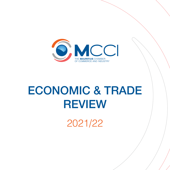

# Economic & Trade **REVIEW**

2021/22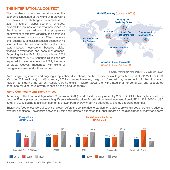### **THE INTERNATIONAL CONTEXT**

The pandemic continues to dominate the economic landscape of the world with prevailing uncertainty and challenges. Nevertheless, in 2021, a resilient global economy emerged, beyond the bounds of expectations raised in the bleakest days following the progressive deployment of effective vaccines and continued macroeconomic policy support. Stern monetary and fiscal policy stimulus measures, strengthening sentiment and the cessation of the most austere state-imposed restrictions boosted global financial performance and consumer demand. According to the IMF, global growth for 2021 is estimated at 5.9%. Although all regions are expected to have recovered in 2021, the pace of global recovery moderated with signs of divergence across and within countries.



*Source: World Economic Update, IMF (January 2022)*

With rising energy prices and ongoing supply chain disruptions, the IMF revised down its growth estimate for 2022 from 4.9% (October 2021 estimate) to 4.4% (January 2022 estimate). However, the growth forecast may be subject to further downward revision considering the current Russia-Ukraine crisis. In March 2022, the IMF stated that "ongoing war and associated sanctions will also have severe impact on the global economy".

#### **World Commodity and Energy Prices**

According to the Food and Agriculture Organization (FAO), world food prices jumped by 28% in 2021 to their highest level in a decade. Energy prices also increased significantly where the price of crude oil per barrel increased from USD 41.26 in 2020 to USD 69.07 in 2021, leading to a shift in economic growth from energy importing countries to energy exporting countries.

Energy and food prices were already rising even before the conflict due to pandemic-related supply chain bottlenecks and adverse weather conditions. The conflict between Russia and Ukraine is expected to further impact on the global price of many food items



*Source: Commodity Prices, World Bank (March 2022)*.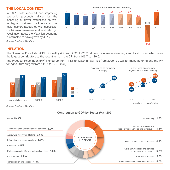# **THE LOCAL CONTEXT**

In 2021, with renewed and improving economic prospects, driven by the loosening of travel restrictions as well as higher business confidence across major sectors associated with successful containment measures and relatively high vaccination rates, the Mauritian economy is estimated to have grown by 4.8%.



# **INFLATION**

The Consumer Price Index (CPI) climbed by 4% from 2020 to 2021, driven by increases in energy and food prices, which were the largest contributors to the recent jump in the CPI from 106.7 to 110.6.

The Producer Price Index (PPI) inched up from 114.5 to 123.9, an 8% rise from 2020 to 2021 for manufacturing and the PPI for agriculture surged from 111.7 to 120.8 (8%).



*Source: Statistics Mauritius*

# **Contribution to GDP by Sector (%) - 2021**

| Others $19.9\%$                                                             |                              | Manufacturing 11.8%                                                         |
|-----------------------------------------------------------------------------|------------------------------|-----------------------------------------------------------------------------|
| Accommodation and food service activities 1.9%                              |                              | Wholesale & retail trade;<br>repair of motor vehicles and motorcycles 11.5% |
| Agriculture, forestry and fishing 3.6%                                      |                              |                                                                             |
| Information and communication $4.5\%$                                       | Contribution<br>to GDP $(%)$ | Financial and insurance activities 10.9%                                    |
| Education 4.5%                                                              |                              | Public administration and defence:                                          |
| Professional, scientific and technical activities 4.6%<br>Construction 4.7% |                              | compulsory social security $6.7\%$<br>Real estate activities 5.6%           |
| Transportation and storage 4.8%                                             |                              | Human health and social work activities 5.0%                                |

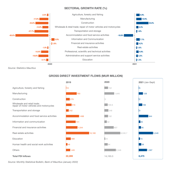#### **Sectoral Growth Rate (%)**



*Source: Statistics Mauritius*

#### **Gross Direct Investment Flows (MUR Million)**









*Source: Monthly Statistical Bulletin, Bank of Mauritius (January 2022)*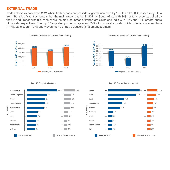## **EXTERNAL TRADE**

Trade activities recovered in 2021 where both exports and imports of goods increased by 15.8% and 29.8%, respectively. Data from Statistics Mauritius reveals that the main export market in 2021 is South Africa with 14% of total exports, trailed by the UK and France with 9% each, while the main countries of import are China and India with 18% and 16% of total share of imports respectively. The top 10 exported products represent 53% of our world exports which include processed tuna (14%), cane sugar (10%) and woven men's or boy's trousers (6%) amongst others.



**Trend in Imports of Goods (2019-2021)**







**Top 10 Export Markets**



#### **Top 10 Countries of Import**